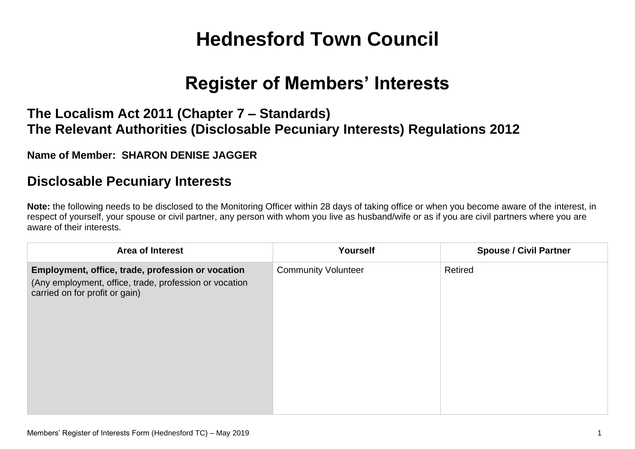# **Hednesford Town Council**

## **Register of Members' Interests**

### **The Localism Act 2011 (Chapter 7 – Standards) The Relevant Authorities (Disclosable Pecuniary Interests) Regulations 2012**

#### **Name of Member: SHARON DENISE JAGGER**

#### **Disclosable Pecuniary Interests**

**Note:** the following needs to be disclosed to the Monitoring Officer within 28 days of taking office or when you become aware of the interest, in respect of yourself, your spouse or civil partner, any person with whom you live as husband/wife or as if you are civil partners where you are aware of their interests.

| Area of Interest                                                                                                                              | Yourself                   | <b>Spouse / Civil Partner</b> |
|-----------------------------------------------------------------------------------------------------------------------------------------------|----------------------------|-------------------------------|
| Employment, office, trade, profession or vocation<br>(Any employment, office, trade, profession or vocation<br>carried on for profit or gain) | <b>Community Volunteer</b> | Retired                       |
|                                                                                                                                               |                            |                               |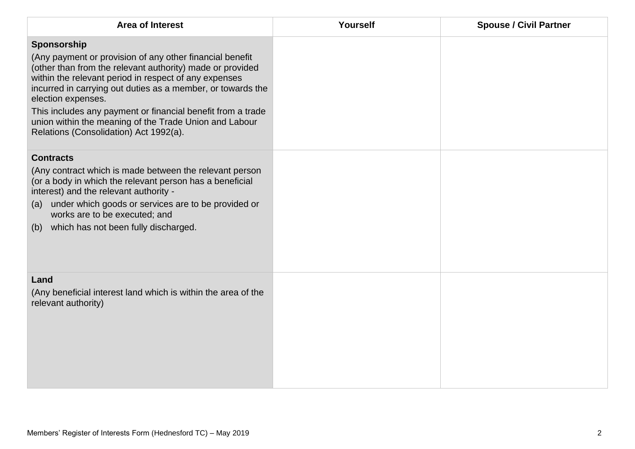| <b>Area of Interest</b>                                                                                                                                                                                                                                                                                                                                                                                                                               | Yourself | <b>Spouse / Civil Partner</b> |
|-------------------------------------------------------------------------------------------------------------------------------------------------------------------------------------------------------------------------------------------------------------------------------------------------------------------------------------------------------------------------------------------------------------------------------------------------------|----------|-------------------------------|
| Sponsorship<br>(Any payment or provision of any other financial benefit<br>(other than from the relevant authority) made or provided<br>within the relevant period in respect of any expenses<br>incurred in carrying out duties as a member, or towards the<br>election expenses.<br>This includes any payment or financial benefit from a trade<br>union within the meaning of the Trade Union and Labour<br>Relations (Consolidation) Act 1992(a). |          |                               |
| <b>Contracts</b><br>(Any contract which is made between the relevant person<br>(or a body in which the relevant person has a beneficial<br>interest) and the relevant authority -<br>(a) under which goods or services are to be provided or<br>works are to be executed; and<br>which has not been fully discharged.<br>(b)                                                                                                                          |          |                               |
| Land<br>(Any beneficial interest land which is within the area of the<br>relevant authority)                                                                                                                                                                                                                                                                                                                                                          |          |                               |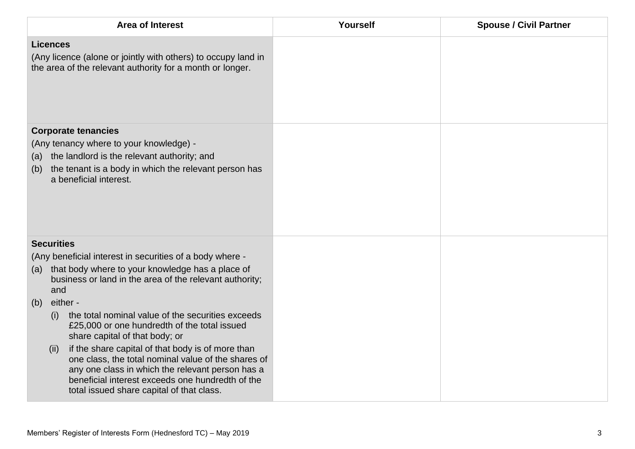|                                                                | <b>Area of Interest</b>                                                                                                                                                                                                                                       | Yourself | <b>Spouse / Civil Partner</b> |
|----------------------------------------------------------------|---------------------------------------------------------------------------------------------------------------------------------------------------------------------------------------------------------------------------------------------------------------|----------|-------------------------------|
| <b>Licences</b>                                                | (Any licence (alone or jointly with others) to occupy land in<br>the area of the relevant authority for a month or longer.                                                                                                                                    |          |                               |
| (a)<br>(b)                                                     | <b>Corporate tenancies</b><br>(Any tenancy where to your knowledge) -<br>the landlord is the relevant authority; and<br>the tenant is a body in which the relevant person has<br>a beneficial interest.                                                       |          |                               |
| <b>Securities</b>                                              |                                                                                                                                                                                                                                                               |          |                               |
| (a)                                                            | (Any beneficial interest in securities of a body where -<br>that body where to your knowledge has a place of                                                                                                                                                  |          |                               |
| business or land in the area of the relevant authority;<br>and |                                                                                                                                                                                                                                                               |          |                               |
| (b)                                                            | either -                                                                                                                                                                                                                                                      |          |                               |
| (i)                                                            | the total nominal value of the securities exceeds<br>£25,000 or one hundredth of the total issued<br>share capital of that body; or                                                                                                                           |          |                               |
| (ii)                                                           | if the share capital of that body is of more than<br>one class, the total nominal value of the shares of<br>any one class in which the relevant person has a<br>beneficial interest exceeds one hundredth of the<br>total issued share capital of that class. |          |                               |